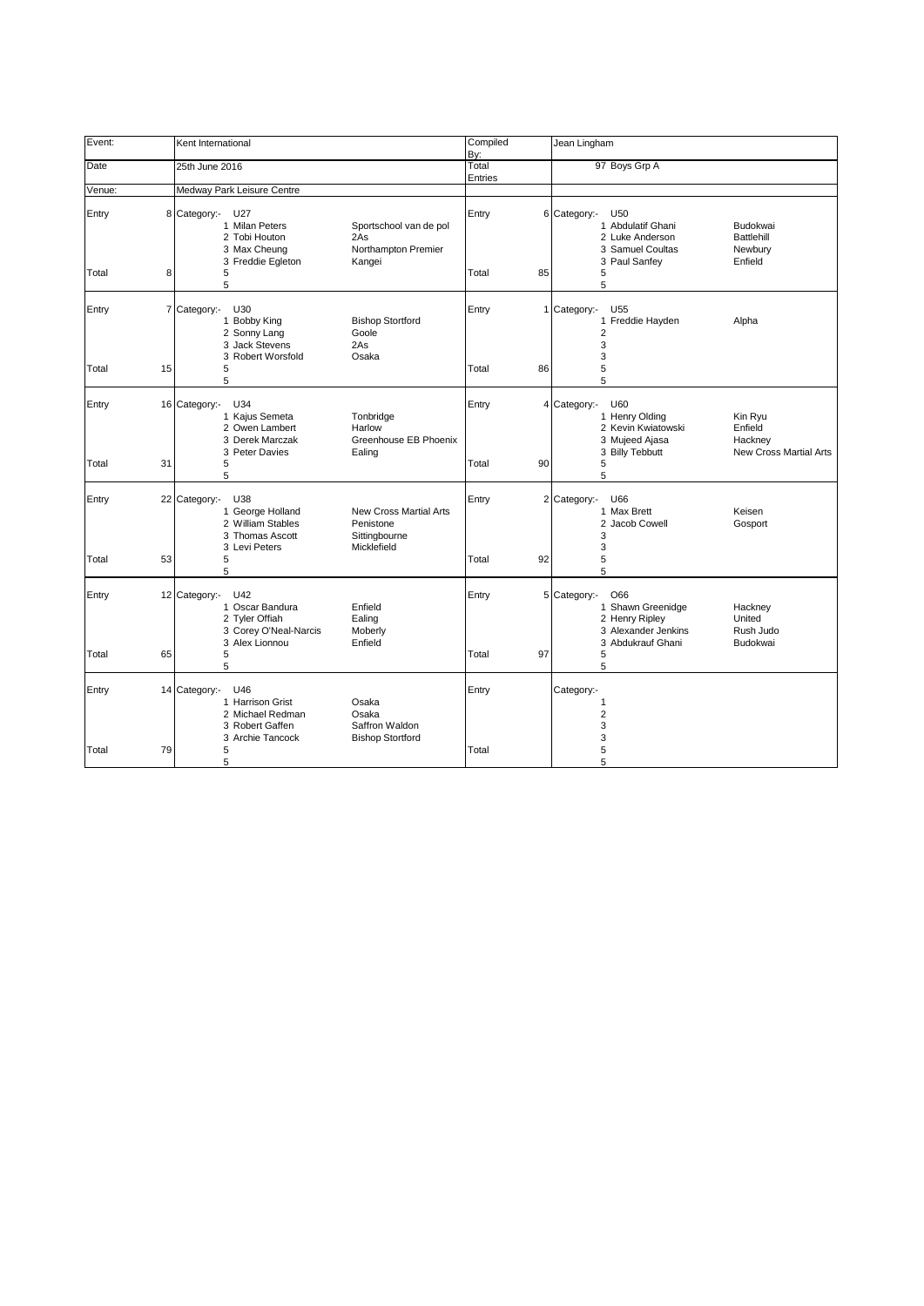| Event:          |                | Kent International                                                                                                                                                                     | Compiled     | Jean Lingham                                                                                                                                                       |
|-----------------|----------------|----------------------------------------------------------------------------------------------------------------------------------------------------------------------------------------|--------------|--------------------------------------------------------------------------------------------------------------------------------------------------------------------|
| Date            |                | 25th June 2016                                                                                                                                                                         | By:<br>Total | 97 Boys Grp A                                                                                                                                                      |
|                 |                |                                                                                                                                                                                        | Entries      |                                                                                                                                                                    |
| Venue:<br>Entry | 8              | Medway Park Leisure Centre<br>Category:- U27<br>1 Milan Peters<br>Sportschool van de pol<br>2 Tobi Houton<br>2As<br>Northampton Premier<br>3 Max Cheung<br>3 Freddie Egleton<br>Kangei | Entry        | 6 Category:-<br>U <sub>50</sub><br>1 Abdulatif Ghani<br>Budokwai<br>2 Luke Anderson<br>Battlehill<br>3 Samuel Coultas<br>Newbury<br>3 Paul Sanfey<br>Enfield       |
| Total           | 8              | 5<br>5                                                                                                                                                                                 | Total<br>85  | 5<br>5                                                                                                                                                             |
| Entry           | $\overline{7}$ | U30<br>Category:-<br>1 Bobby King<br><b>Bishop Stortford</b><br>2 Sonny Lang<br>Goole<br>3 Jack Stevens<br>2As<br>3 Robert Worsfold<br>Osaka                                           | Entry        | 1 Category:-<br>U <sub>55</sub><br>Freddie Hayden<br>Alpha<br>$\mathbf{1}$<br>2<br>3<br>3                                                                          |
| Total           | 15             | 5<br>5                                                                                                                                                                                 | Total<br>86  | 5<br>5                                                                                                                                                             |
| Entry           |                | 16 Category:-<br>U34<br>1 Kajus Semeta<br>Tonbridge<br>2 Owen Lambert<br>Harlow<br>Greenhouse EB Phoenix<br>3 Derek Marczak<br>3 Peter Davies<br>Ealing                                | Entry        | U60<br>4 Category:-<br>1 Henry Olding<br>Kin Ryu<br>2 Kevin Kwiatowski<br>Enfield<br>3 Mujeed Ajasa<br>Hackney<br>3 Billy Tebbutt<br><b>New Cross Martial Arts</b> |
| Total           | 31             | 5<br>5                                                                                                                                                                                 | Total<br>90  | 5<br>5                                                                                                                                                             |
| Entry           |                | 22 Category:-<br>U38<br>1 George Holland<br><b>New Cross Martial Arts</b><br>2 William Stables<br>Penistone<br>3 Thomas Ascott<br>Sittingbourne<br>Micklefield<br>3 Levi Peters        | Entry        | 2 Category:-<br>U66<br>1 Max Brett<br>Keisen<br>2 Jacob Cowell<br>Gosport<br>3<br>3                                                                                |
| Total           | 53             | 5<br>5                                                                                                                                                                                 | 92<br>Total  | 5<br>5                                                                                                                                                             |
| Entry           |                | U42<br>12 Category:-<br>1 Oscar Bandura<br>Enfield<br>2 Tyler Offiah<br>Ealing<br>3 Corey O'Neal-Narcis<br>Moberly<br>3 Alex Lionnou<br>Enfield                                        | Entry        | O66<br>5 Category:-<br>Shawn Greenidge<br>Hackney<br>1<br>2 Henry Ripley<br>United<br>3 Alexander Jenkins<br>Rush Judo<br>3 Abdukrauf Ghani<br>Budokwai            |
| Total           | 65             | 5<br>5                                                                                                                                                                                 | 97<br>Total  | 5<br>5                                                                                                                                                             |
| Entry           |                | U46<br>14 Category:-<br>1 Harrison Grist<br>Osaka<br>2 Michael Redman<br>Osaka<br>Saffron Waldon<br>3 Robert Gaffen<br>3 Archie Tancock<br><b>Bishop Stortford</b>                     | Entry        | Category:-<br>1<br>$\overline{2}$<br>3<br>3                                                                                                                        |
| Total           | 79             | 5<br>5                                                                                                                                                                                 | Total        | 5<br>5                                                                                                                                                             |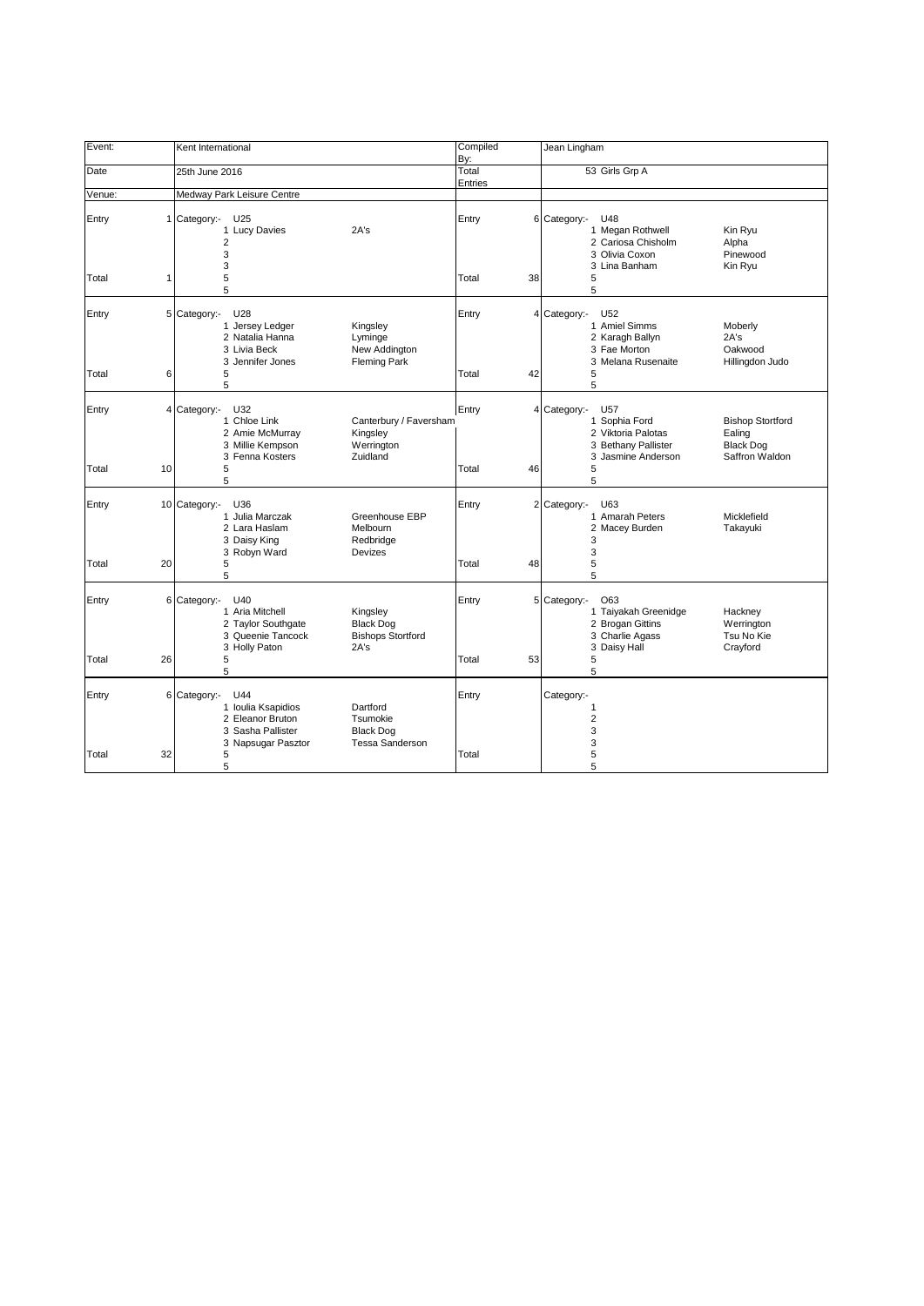| Event:         | Kent International                                                                                                                                                             | Compiled<br>By:      | Jean Lingham                                                                                                                                                                       |
|----------------|--------------------------------------------------------------------------------------------------------------------------------------------------------------------------------|----------------------|------------------------------------------------------------------------------------------------------------------------------------------------------------------------------------|
| Date           | 25th June 2016                                                                                                                                                                 | Total<br>Entries     | 53 Girls Grp A                                                                                                                                                                     |
| Venue:         | Medway Park Leisure Centre                                                                                                                                                     |                      |                                                                                                                                                                                    |
| Entry<br>Total | Category:-<br>U25<br>1<br>1 Lucy Davies<br>2A's<br>$\overline{2}$<br>3<br>3<br>5<br>1                                                                                          | Entry<br>Total<br>38 | 6 Category:-<br>U48<br>1 Megan Rothwell<br>Kin Ryu<br>2 Cariosa Chisholm<br>Alpha<br>3 Olivia Coxon<br>Pinewood<br>3 Lina Banham<br>Kin Ryu<br>5                                   |
|                | 5                                                                                                                                                                              |                      | 5                                                                                                                                                                                  |
| Entry<br>Total | 5 Category:-<br>U28<br>1 Jersey Ledger<br>Kingsley<br>2 Natalia Hanna<br>Lyminge<br>3 Livia Beck<br>New Addington<br>3 Jennifer Jones<br><b>Fleming Park</b><br>6<br>5         | Entry<br>Total<br>42 | 4 Category:-<br>U52<br>1 Amiel Simms<br>Moberly<br>2 Karagh Ballyn<br>2A's<br>3 Fae Morton<br>Oakwood<br>3 Melana Rusenaite<br>Hillingdon Judo<br>5                                |
|                | 5                                                                                                                                                                              |                      | 5                                                                                                                                                                                  |
| Entry          | 4 Category:-<br>U32<br>1 Chloe Link<br>Canterbury / Faversham<br>2 Amie McMurray<br>Kingsley<br>3 Millie Kempson<br>Werrington<br>3 Fenna Kosters<br>Zuidland                  | Entry                | 4 Category:-<br>U57<br>1 Sophia Ford<br><b>Bishop Stortford</b><br>2 Viktoria Palotas<br>Ealing<br>3 Bethany Pallister<br><b>Black Dog</b><br>3 Jasmine Anderson<br>Saffron Waldon |
| Total          | 10<br>5<br>5                                                                                                                                                                   | Total<br>46          | 5<br>5                                                                                                                                                                             |
| Entry<br>Total | 10 Category:-<br>U36<br>1 Julia Marczak<br>Greenhouse EBP<br>2 Lara Haslam<br>Melbourn<br>3 Daisy King<br>Redbridge<br>3 Robyn Ward<br>Devizes<br>20<br>5                      | Entry<br>Total<br>48 | 2 Category:-<br>U63<br>1 Amarah Peters<br>Micklefield<br>2 Macey Burden<br>Takayuki<br>3<br>3<br>5                                                                                 |
|                | 5                                                                                                                                                                              |                      | 5                                                                                                                                                                                  |
| Entry          | 6 Category:-<br>U40<br>1 Aria Mitchell<br>Kingsley<br>2 Taylor Southgate<br><b>Black Dog</b><br>3 Queenie Tancock<br><b>Bishops Stortford</b><br>3 Holly Paton<br>2A's         | Entry                | 5 Category:-<br>O63<br>1 Taiyakah Greenidge<br>Hackney<br>2 Brogan Gittins<br>Werrington<br>3 Charlie Agass<br>Tsu No Kie<br>3 Daisy Hall<br>Crayford                              |
| Total          | 26<br>5<br>5                                                                                                                                                                   | Total<br>53          | 5<br>5                                                                                                                                                                             |
| Entry          | 6 Category:-<br>U44<br>1 Ioulia Ksapidios<br>Dartford<br>2 Eleanor Bruton<br>Tsumokie<br><b>Black Dog</b><br>3 Sasha Pallister<br>3 Napsugar Pasztor<br><b>Tessa Sanderson</b> | Entry                | Category:-<br>1<br>$\overline{\mathbf{c}}$<br>3<br>3                                                                                                                               |
| Total          | 32<br>5<br>5                                                                                                                                                                   | Total                | 5<br>5                                                                                                                                                                             |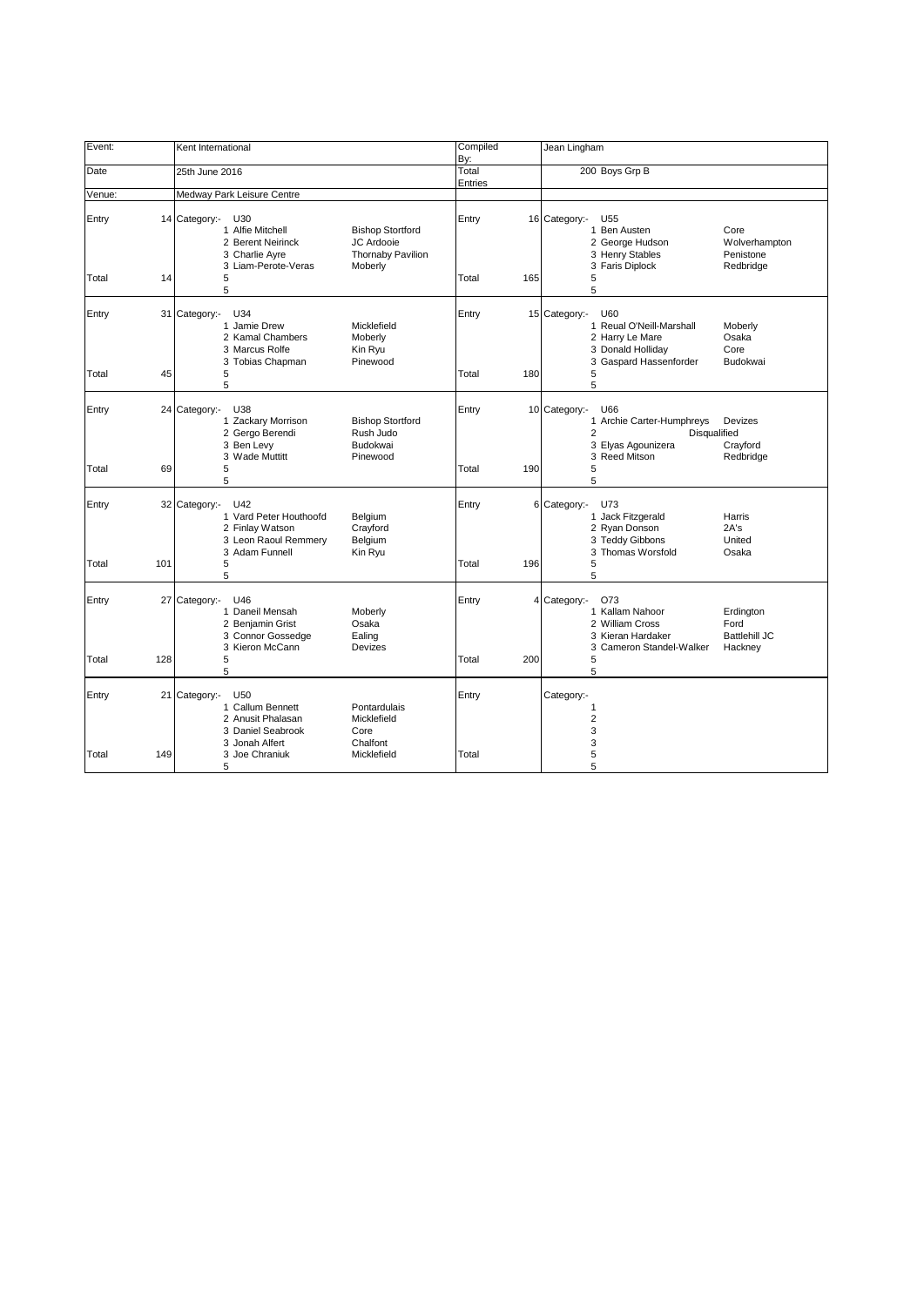| Event:         |     | Kent International                                                                                                                                                                          | Compiled<br>By:  |     | Jean Lingham                                                                                                                                                            |
|----------------|-----|---------------------------------------------------------------------------------------------------------------------------------------------------------------------------------------------|------------------|-----|-------------------------------------------------------------------------------------------------------------------------------------------------------------------------|
| Date           |     | 25th June 2016                                                                                                                                                                              | Total<br>Entries |     | 200 Boys Grp B                                                                                                                                                          |
| Venue:         |     | Medway Park Leisure Centre                                                                                                                                                                  |                  |     |                                                                                                                                                                         |
| Entry<br>Total | 14  | 14 Category:-<br>U30<br>1 Alfie Mitchell<br><b>Bishop Stortford</b><br>2 Berent Neirinck<br>JC Ardooie<br><b>Thornaby Pavilion</b><br>3 Charlie Ayre<br>3 Liam-Perote-Veras<br>Moberly<br>5 | Entry<br>Total   | 165 | 16 Category:-<br>U <sub>55</sub><br>1 Ben Austen<br>Core<br>2 George Hudson<br>Wolverhampton<br>3 Henry Stables<br>Penistone<br>3 Faris Diplock<br>Redbridge<br>5       |
|                |     | 5                                                                                                                                                                                           |                  |     | 5                                                                                                                                                                       |
| Entry<br>Total | 45  | 31 Category:-<br>U34<br>1 Jamie Drew<br>Micklefield<br>2 Kamal Chambers<br>Moberly<br>3 Marcus Rolfe<br>Kin Ryu<br>3 Tobias Chapman<br>Pinewood<br>5<br>5                                   | Entry<br>Total   | 180 | 15 Category:-<br>U60<br>1 Reual O'Neill-Marshall<br>Moberly<br>Osaka<br>2 Harry Le Mare<br>3 Donald Holliday<br>Core<br>3 Gaspard Hassenforder<br>Budokwai<br>5<br>5    |
| Entry          |     | 24 Category:-<br>U38<br>1 Zackary Morrison<br><b>Bishop Stortford</b><br>2 Gergo Berendi<br>Rush Judo<br>3 Ben Levy<br>Budokwai<br>3 Wade Muttitt<br>Pinewood                               | Entry            |     | 10 Category:-<br>U66<br>1 Archie Carter-Humphreys<br>Devizes<br>$\overline{2}$<br>Disqualified<br>3 Elyas Agounizera<br>Crayford<br>3 Reed Mitson<br>Redbridge          |
| Total          | 69  | 5<br>5                                                                                                                                                                                      | Total            | 190 | 5<br>5                                                                                                                                                                  |
| Entry<br>Total | 101 | 32 Category:-<br>U42<br>1 Vard Peter Houthoofd<br>Belgium<br>2 Finlay Watson<br>Crayford<br>3 Leon Raoul Remmery<br>Belgium<br>3 Adam Funnell<br>Kin Ryu<br>5<br>5                          | Entry<br>Total   | 196 | 6 Category:- U73<br>1 Jack Fitzgerald<br>Harris<br>2 Ryan Donson<br>2A's<br>3 Teddy Gibbons<br>United<br>3 Thomas Worsfold<br>Osaka<br>5<br>5                           |
| Entry<br>Total | 128 | U46<br>27 Category:-<br>1 Daneil Mensah<br>Moberly<br>2 Benjamin Grist<br>Osaka<br>3 Connor Gossedge<br>Ealing<br>3 Kieron McCann<br>Devizes<br>5                                           | Entry<br>Total   | 200 | 4 Category:-<br>O73<br>1 Kallam Nahoor<br>Erdington<br>2 William Cross<br>Ford<br>3 Kieran Hardaker<br><b>Battlehill JC</b><br>3 Cameron Standel-Walker<br>Hackney<br>5 |
|                |     | 5                                                                                                                                                                                           |                  |     | 5                                                                                                                                                                       |
| Entry          |     | 21 Category:-<br>U <sub>50</sub><br>1 Callum Bennett<br>Pontardulais<br>2 Anusit Phalasan<br>Micklefield<br>3 Daniel Seabrook<br>Core<br>3 Jonah Alfert<br>Chalfont                         | Entry            |     | Category:-<br>$\mathbf{1}$<br>$\overline{2}$<br>3<br>3                                                                                                                  |
| Total          | 149 | 3 Joe Chraniuk<br>Micklefield<br>5                                                                                                                                                          | Total            |     | 5<br>5                                                                                                                                                                  |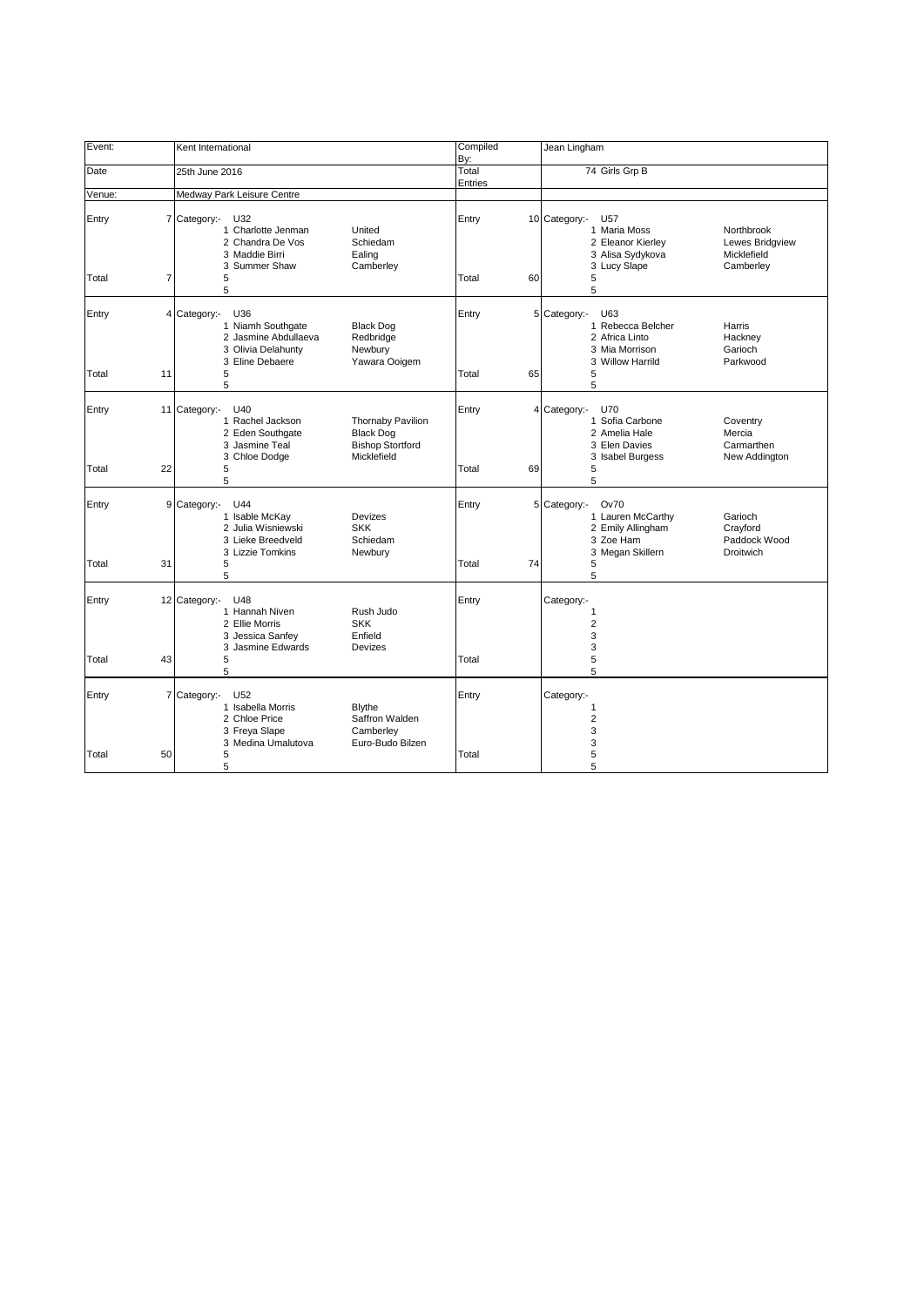| Event:                     | Kent International                                                                                                                                                                                    | Compiled<br>By:      | Jean Lingham                                                                                                                                                                     |
|----------------------------|-------------------------------------------------------------------------------------------------------------------------------------------------------------------------------------------------------|----------------------|----------------------------------------------------------------------------------------------------------------------------------------------------------------------------------|
| Date                       | 25th June 2016                                                                                                                                                                                        | Total<br>Entries     | 74 Girls Grp B                                                                                                                                                                   |
| Venue:                     | Medway Park Leisure Centre                                                                                                                                                                            |                      |                                                                                                                                                                                  |
| Entry<br>Total             | 7 Category:-<br>U32<br>1 Charlotte Jenman<br>United<br>2 Chandra De Vos<br>Schiedam<br>3 Maddie Birri<br>Ealing<br>3 Summer Shaw<br>Camberley<br>7<br>5<br>5                                          | Entry<br>Total<br>60 | 10 Category:-<br>U <sub>57</sub><br>1 Maria Moss<br>Northbrook<br>2 Eleanor Kierley<br>Lewes Bridgview<br>3 Alisa Sydykova<br>Micklefield<br>3 Lucy Slape<br>Camberley<br>5<br>5 |
| Entry<br>Total<br>11       | 4 Category:-<br>U36<br>1 Niamh Southgate<br><b>Black Dog</b><br>2 Jasmine Abdullaeva<br>Redbridge<br>3 Olivia Delahunty<br>Newbury<br>3 Eline Debaere<br>Yawara Ooigem<br>5<br>5                      | Entry<br>Total<br>65 | 5 Category:-<br>U63<br>1 Rebecca Belcher<br>Harris<br>2 Africa Linto<br>Hackney<br>3 Mia Morrison<br>Garioch<br>3 Willow Harrild<br>Parkwood<br>5<br>5                           |
| Entry<br>11<br>Total<br>22 | Category:-<br>U40<br>1 Rachel Jackson<br><b>Thornaby Pavilion</b><br>2 Eden Southgate<br><b>Black Dog</b><br>3 Jasmine Teal<br><b>Bishop Stortford</b><br>3 Chloe Dodge<br>Micklefield<br>5           | Entry<br>Total<br>69 | 4 Category:-<br>U70<br>1 Sofia Carbone<br>Coventry<br>2 Amelia Hale<br>Mercia<br>3 Elen Davies<br>Carmarthen<br>3 Isabel Burgess<br>New Addington<br>5                           |
| Entry<br>Total<br>31       | 5<br>9<br>Category:-<br>U44<br>1 Isable McKay<br>Devizes<br>2 Julia Wisniewski<br><b>SKK</b><br>3 Lieke Breedveld<br>Schiedam<br>3 Lizzie Tomkins<br>Newbury<br>5<br>5                                | Entry<br>Total<br>74 | 5<br>5 Category:-<br><b>Ov70</b><br>1 Lauren McCarthy<br>Garioch<br>2 Emily Allingham<br>Crayford<br>3 Zoe Ham<br>Paddock Wood<br>3 Megan Skillern<br><b>Droitwich</b><br>5<br>5 |
| Entry<br>43<br>Total       | 12 Category:-<br>U48<br>1 Hannah Niven<br>Rush Judo<br>2 Ellie Morris<br><b>SKK</b><br>3 Jessica Sanfey<br>Enfield<br>3 Jasmine Edwards<br>Devizes<br>5<br>5                                          | Entry<br>Total       | Category:-<br>1<br>$\overline{2}$<br>3<br>3<br>5<br>5                                                                                                                            |
| Entry<br>Total<br>50       | $\overline{7}$<br>Category:-<br>U <sub>52</sub><br>1 Isabella Morris<br><b>Blythe</b><br>Saffron Walden<br>2 Chloe Price<br>3 Freya Slape<br>Camberley<br>3 Medina Umalutova<br>Euro-Budo Bilzen<br>5 | Entry<br>Total       | Category:-<br>1<br>$\overline{2}$<br>3<br>3<br>5                                                                                                                                 |
|                            | 5                                                                                                                                                                                                     |                      | 5                                                                                                                                                                                |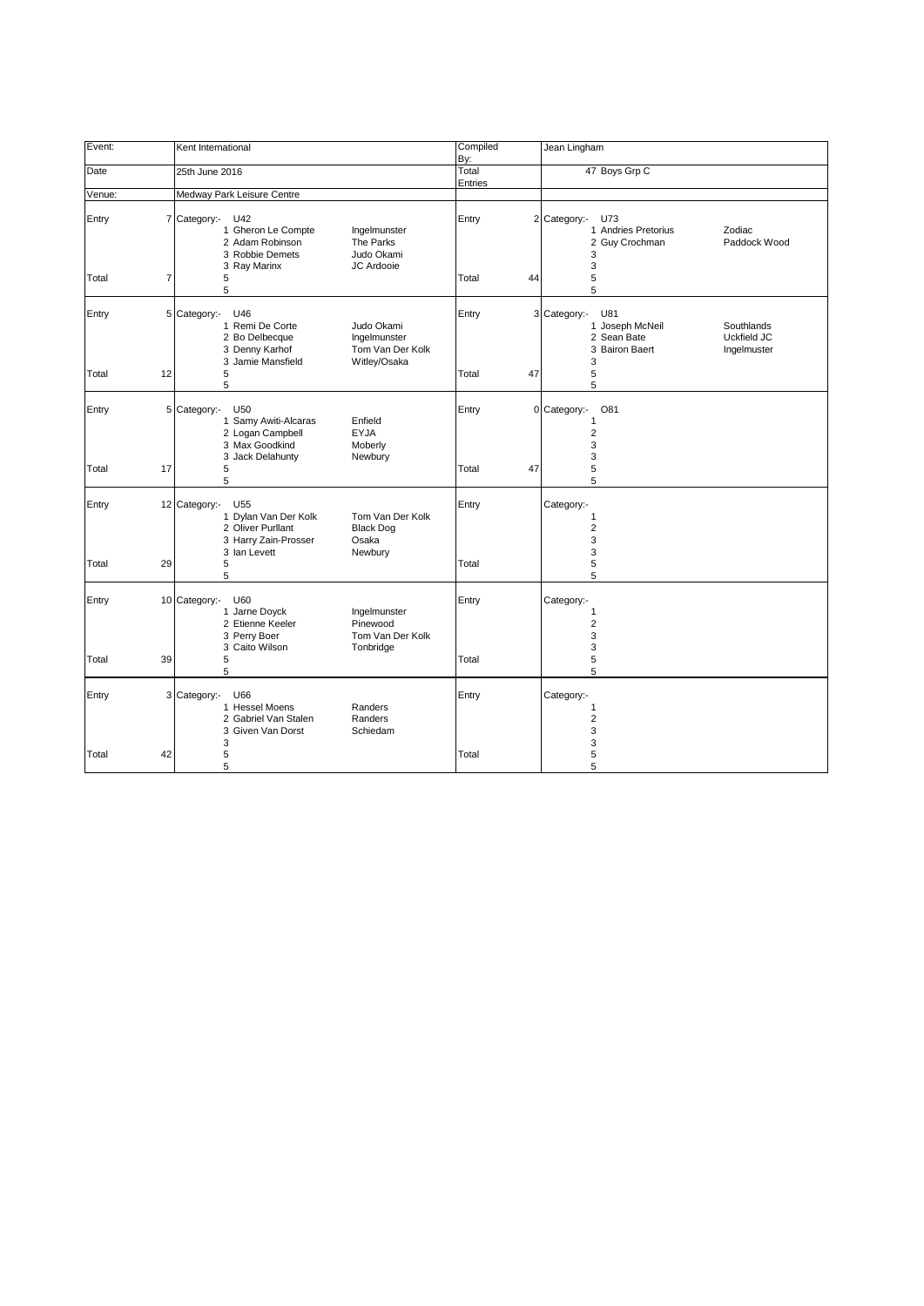| Event:      | Kent International                                                                                                                                                    | Compiled<br>By:  | Jean Lingham                                                                                                             |
|-------------|-----------------------------------------------------------------------------------------------------------------------------------------------------------------------|------------------|--------------------------------------------------------------------------------------------------------------------------|
| Date        | 25th June 2016                                                                                                                                                        | Total<br>Entries | 47 Boys Grp C                                                                                                            |
| Venue:      | Medway Park Leisure Centre                                                                                                                                            |                  |                                                                                                                          |
| Entry       | 7 Category:-<br>U42<br>1 Gheron Le Compte<br>Ingelmunster<br>2 Adam Robinson<br>The Parks<br>3 Robbie Demets<br>Judo Okami<br>3 Ray Marinx<br>JC Ardooie              | Entry            | 2 Category:-<br>U73<br>1 Andries Pretorius<br>Zodiac<br>2 Guy Crochman<br>Paddock Wood<br>3<br>3                         |
| 7<br>Total  | 5<br>5                                                                                                                                                                | Total<br>44      | 5<br>5                                                                                                                   |
| Entry       | 5 Category:-<br>U46<br>1 Remi De Corte<br>Judo Okami<br>2 Bo Delbecque<br>Ingelmunster<br>Tom Van Der Kolk<br>3 Denny Karhof<br>3 Jamie Mansfield<br>Witley/Osaka     | Entry            | U81<br>3 Category:-<br>1 Joseph McNeil<br>Southlands<br>2 Sean Bate<br>Uckfield JC<br>3 Bairon Baert<br>Ingelmuster<br>3 |
| Total<br>12 | 5<br>5                                                                                                                                                                | 47<br>Total      | 5<br>5                                                                                                                   |
| Entry       | 5 Category:-<br>U50<br>1 Samy Awiti-Alcaras<br>Enfield<br>2 Logan Campbell<br><b>EYJA</b><br>3 Max Goodkind<br>Moberly<br>3 Jack Delahunty<br>Newbury                 | Entry            | 0 Category:-<br>O81<br>1<br>$\overline{2}$<br>3<br>3                                                                     |
| Total<br>17 | 5<br>5                                                                                                                                                                | Total<br>47      | 5<br>5                                                                                                                   |
| Entry       | 12 Category:-<br>U55<br>1 Dylan Van Der Kolk<br>Tom Van Der Kolk<br>2 Oliver Purllant<br><b>Black Dog</b><br>3 Harry Zain-Prosser<br>Osaka<br>3 Ian Levett<br>Newbury | Entry            | Category:-<br>1<br>$\overline{2}$<br>3<br>3                                                                              |
| 29<br>Total | 5<br>5                                                                                                                                                                | Total            | 5<br>5                                                                                                                   |
| Entry       | 10 Category:-<br>U60<br>1 Jarne Doyck<br>Ingelmunster<br>2 Etienne Keeler<br>Pinewood<br>3 Perry Boer<br>Tom Van Der Kolk<br>3 Caito Wilson<br>Tonbridge              | Entry            | Category:-<br>1<br>$\overline{2}$<br>3<br>3                                                                              |
| 39<br>Total | 5<br>5                                                                                                                                                                | Total            | 5<br>5                                                                                                                   |
| Entry       | 3 Category:-<br>U66<br>1 Hessel Moens<br>Randers<br>2 Gabriel Van Stalen<br>Randers<br>3 Given Van Dorst<br>Schiedam<br>3                                             | Entry            | Category:-<br>1<br>$\overline{\mathbf{c}}$<br>3<br>3                                                                     |
| 42<br>Total | 5<br>5                                                                                                                                                                | Total            | 5<br>5                                                                                                                   |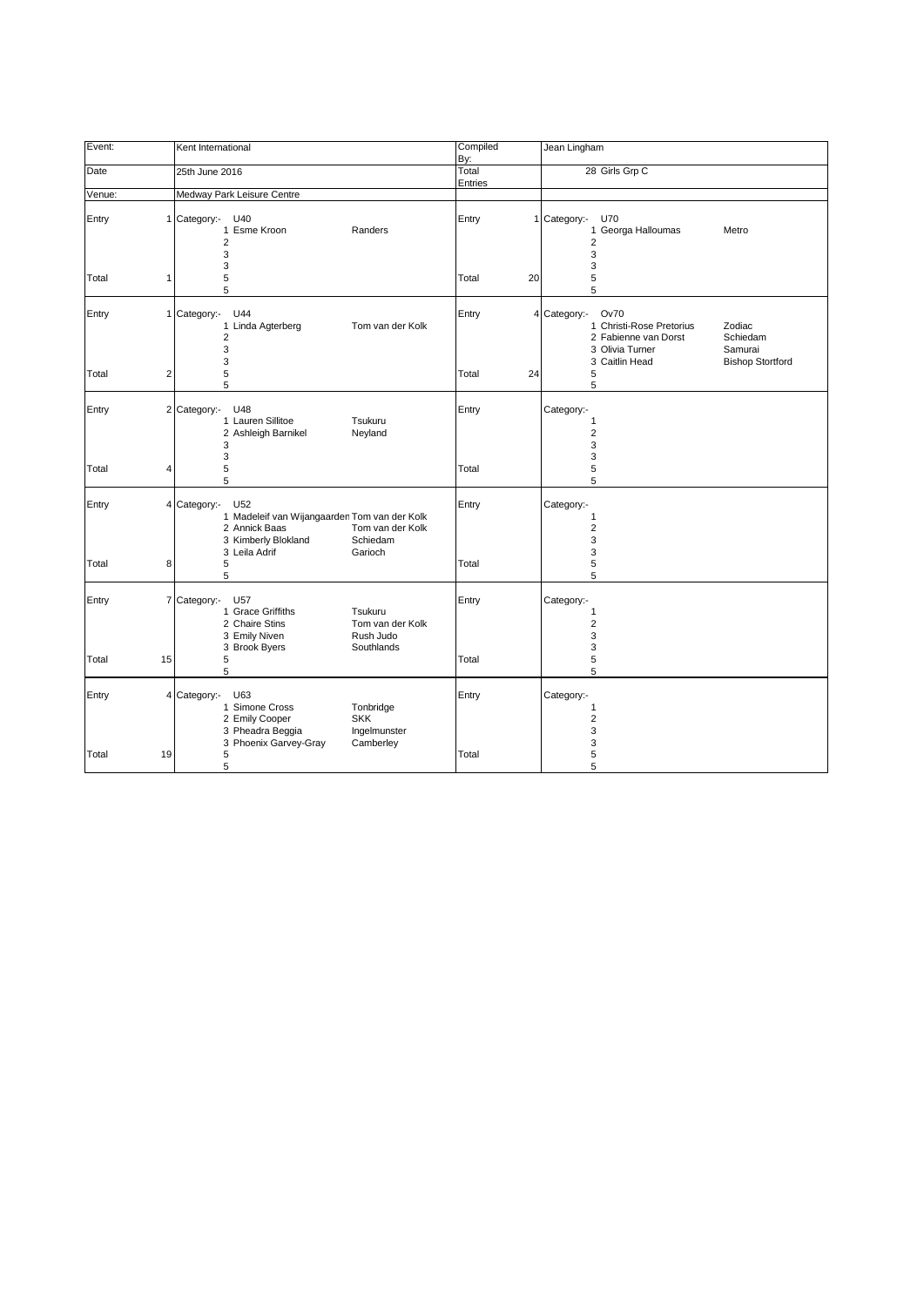| Event:                  | Kent International                                                                                                                                                      | Compiled<br>By:  | Jean Lingham                                                                                                                                                                     |
|-------------------------|-------------------------------------------------------------------------------------------------------------------------------------------------------------------------|------------------|----------------------------------------------------------------------------------------------------------------------------------------------------------------------------------|
| Date                    | 25th June 2016                                                                                                                                                          | Total<br>Entries | 28 Girls Grp C                                                                                                                                                                   |
| Venue:                  | Medway Park Leisure Centre                                                                                                                                              |                  |                                                                                                                                                                                  |
| Entry<br>1              | Category:-<br>U40<br>1 Esme Kroon<br>Randers<br>$\overline{2}$<br>3<br>3                                                                                                | Entry            | 1 Category:-<br>U70<br>1 Georga Halloumas<br>Metro<br>$\overline{2}$<br>3<br>3                                                                                                   |
| Total<br>1              | 5<br>5                                                                                                                                                                  | Total<br>20      | 5<br>5                                                                                                                                                                           |
| Entry                   | 1 Category:-<br>U44<br>1 Linda Agterberg<br>Tom van der Kolk<br>$\overline{2}$<br>3<br>3                                                                                | Entry            | <b>Ov70</b><br>4 Category:-<br>1 Christi-Rose Pretorius<br>Zodiac<br>2 Fabienne van Dorst<br>Schiedam<br>3 Olivia Turner<br>Samurai<br>3 Caitlin Head<br><b>Bishop Stortford</b> |
| $\overline{2}$<br>Total | 5<br>5                                                                                                                                                                  | Total<br>24      | 5<br>5                                                                                                                                                                           |
| Entry                   | 2 Category:-<br>U48<br>1 Lauren Sillitoe<br>Tsukuru<br>2 Ashleigh Barnikel<br>Neyland<br>3                                                                              | Entry            | Category:-<br>1<br>$\overline{\mathbf{c}}$<br>3                                                                                                                                  |
| Total<br>4              | 3<br>5<br>5                                                                                                                                                             | Total            | 3<br>5<br>5                                                                                                                                                                      |
| Entry                   | 4 Category:-<br>U52<br>1 Madeleif van Wijangaarden Tom van der Kolk<br>2 Annick Baas<br>Tom van der Kolk<br>3 Kimberly Blokland<br>Schiedam<br>3 Leila Adrif<br>Garioch | Entry            | Category:-<br>1<br>$\overline{\mathbf{c}}$<br>3<br>3                                                                                                                             |
| 8<br>Total              | 5<br>5                                                                                                                                                                  | Total            | 5<br>5                                                                                                                                                                           |
| Entry<br>7              | Category:-<br>U57<br>1 Grace Griffiths<br>Tsukuru<br>2 Chaire Stins<br>Tom van der Kolk<br>3 Emily Niven<br>Rush Judo<br>Southlands<br>3 Brook Byers                    | Entry            | Category:-<br>1<br>$\overline{2}$<br>3<br>3                                                                                                                                      |
| 15<br>Total             | 5<br>5                                                                                                                                                                  | Total            | 5<br>5                                                                                                                                                                           |
| Entry                   | 4 Category:-<br>U63<br>1 Simone Cross<br>Tonbridge<br>2 Emily Cooper<br><b>SKK</b><br>3 Pheadra Beggia<br>Ingelmunster<br>3 Phoenix Garvey-Gray<br>Camberley            | Entry            | Category:-<br>1<br>$\overline{\mathbf{c}}$<br>3<br>3                                                                                                                             |
| Total<br>19             | 5<br>5                                                                                                                                                                  | Total            | 5<br>5                                                                                                                                                                           |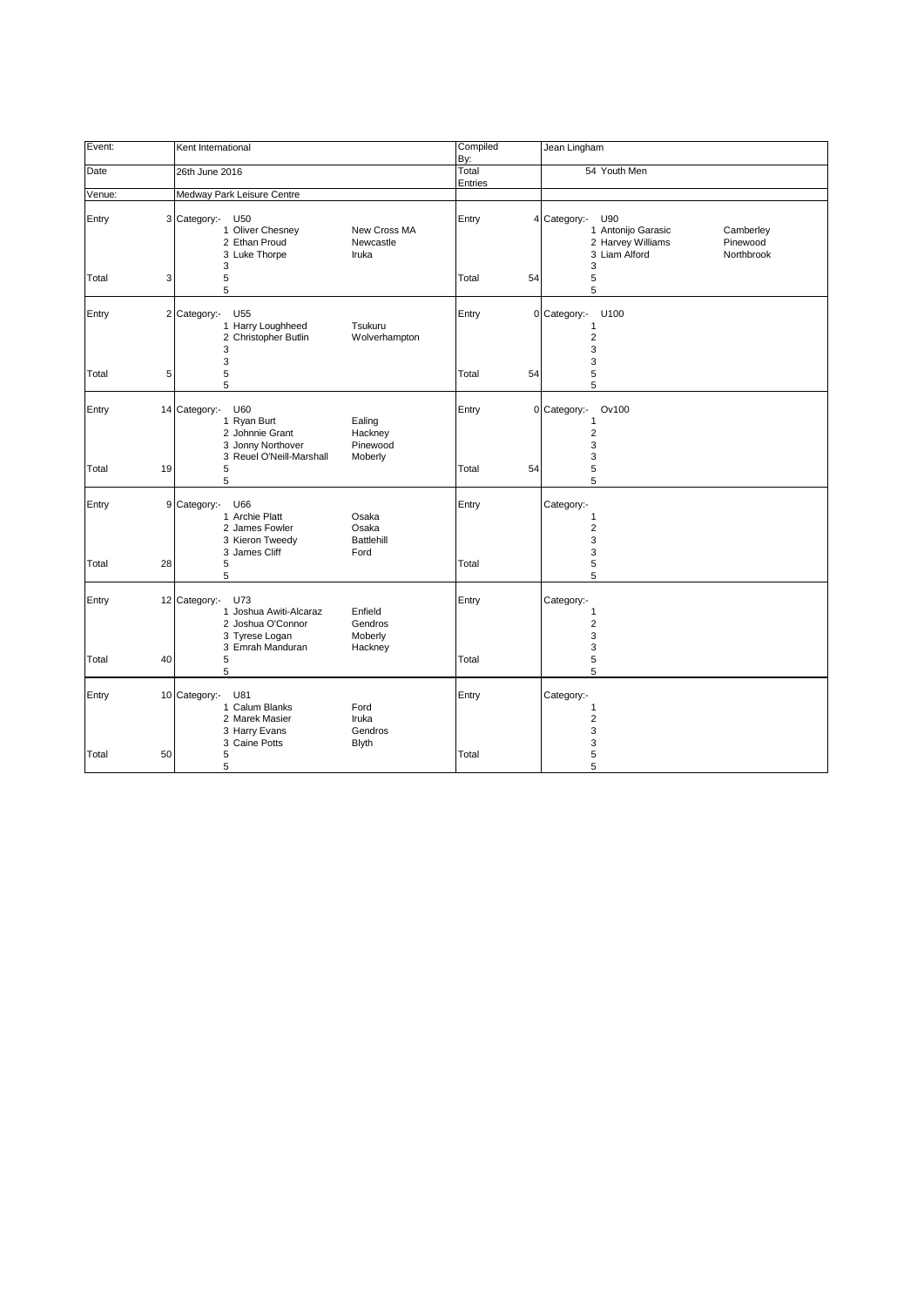| Event:      | Kent International                                                                                                                                    | Compiled<br>By:  | Jean Lingham                                                                                                                |
|-------------|-------------------------------------------------------------------------------------------------------------------------------------------------------|------------------|-----------------------------------------------------------------------------------------------------------------------------|
| Date        | 26th June 2016                                                                                                                                        | Total<br>Entries | 54 Youth Men                                                                                                                |
| Venue:      | Medway Park Leisure Centre                                                                                                                            |                  |                                                                                                                             |
| Entry       | 3 Category:-<br>U50<br>1 Oliver Chesney<br>New Cross MA<br>2 Ethan Proud<br>Newcastle<br>3 Luke Thorpe<br>Iruka<br>3                                  | Entry            | 4 Category:-<br>U90<br>1 Antonijo Garasic<br>Camberley<br>2 Harvey Williams<br>Pinewood<br>3 Liam Alford<br>Northbrook<br>3 |
| Total<br>3  | 5<br>5                                                                                                                                                | Total<br>54      | 5<br>5                                                                                                                      |
| Entry       | 2 Category:-<br>U55<br>1 Harry Loughheed<br>Tsukuru<br>2 Christopher Butlin<br>Wolverhampton<br>3<br>3                                                | Entry            | 0 Category:-<br>U100<br>$\mathbf{1}$<br>2<br>3<br>3                                                                         |
| 5<br>Total  | 5<br>5                                                                                                                                                | Total<br>54      | 5<br>5                                                                                                                      |
| Entry       | 14 Category:-<br>U60<br>1 Ryan Burt<br>Ealing<br>2 Johnnie Grant<br>Hackney<br>3 Jonny Northover<br>Pinewood<br>3 Reuel O'Neill-Marshall<br>Moberly   | Entry            | 0 Category:-<br>Ov100<br>1<br>$\overline{2}$<br>3<br>3                                                                      |
| 19<br>Total | 5<br>5                                                                                                                                                | Total<br>54      | 5<br>5                                                                                                                      |
| Entry       | 9 Category:-<br>U66<br>1 Archie Platt<br>Osaka<br>2 James Fowler<br>Osaka<br>3 Kieron Tweedy<br><b>Battlehill</b><br>3 James Cliff<br>Ford            | Entry            | Category:-<br>1<br>$\overline{2}$<br>3<br>3                                                                                 |
| 28<br>Total | 5<br>5                                                                                                                                                | Total            | 5<br>5                                                                                                                      |
| Entry       | 12 Category:-<br>U73<br>1 Joshua Awiti-Alcaraz<br>Enfield<br>2 Joshua O'Connor<br>Gendros<br>3 Tyrese Logan<br>Moberly<br>3 Emrah Manduran<br>Hackney | Entry            | Category:-<br>1<br>$\overline{2}$<br>3<br>3                                                                                 |
| 40<br>Total | 5<br>5                                                                                                                                                | Total            | 5<br>5                                                                                                                      |
| Entry       | 10 Category:-<br>U81<br>1 Calum Blanks<br>Ford<br>2 Marek Masier<br>Iruka<br>Gendros<br>3 Harry Evans<br>3 Caine Potts<br><b>Blyth</b>                | Entry            | Category:-<br>1<br>$\overline{\mathbf{c}}$<br>3<br>3                                                                        |
| Total<br>50 | 5<br>5                                                                                                                                                | Total            | 5<br>5                                                                                                                      |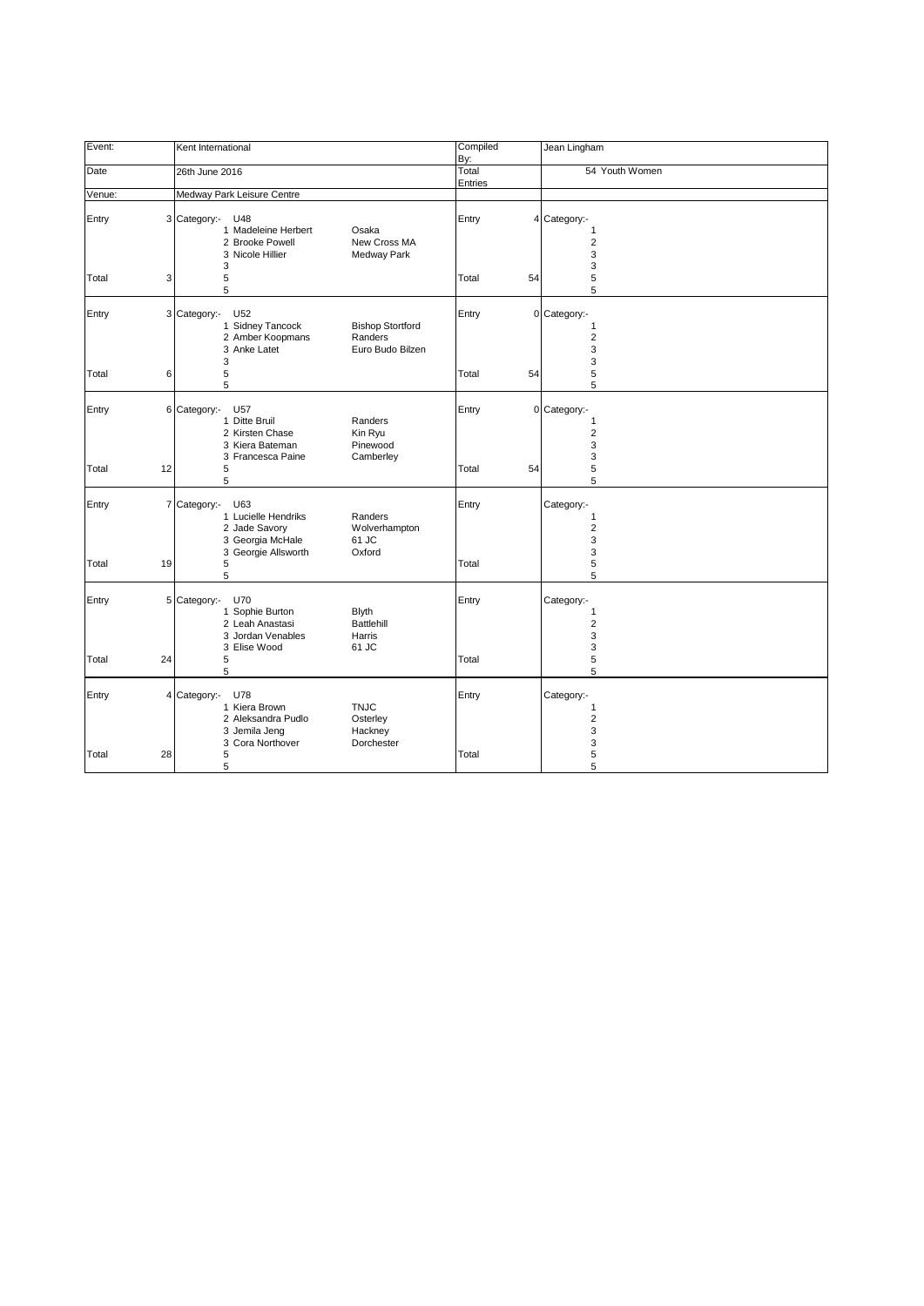| Event:      | Kent International                                                                                                                                    | Compiled<br>By:  | Jean Lingham                                    |
|-------------|-------------------------------------------------------------------------------------------------------------------------------------------------------|------------------|-------------------------------------------------|
| Date        | 26th June 2016                                                                                                                                        | Total<br>Entries | 54 Youth Women                                  |
| Venue:      | Medway Park Leisure Centre                                                                                                                            |                  |                                                 |
| Entry       | 3 Category:-<br>U48<br>1 Madeleine Herbert<br>Osaka<br>2 Brooke Powell<br>New Cross MA<br>3 Nicole Hillier<br>Medway Park<br>3                        | Entry            | 4 Category:-<br>1<br>$\overline{2}$<br>3<br>3   |
| 3<br>Total  | 5<br>5                                                                                                                                                | Total<br>54      | 5<br>5                                          |
| Entry       | 3 Category:-<br>U52<br>1 Sidney Tancock<br><b>Bishop Stortford</b><br>2 Amber Koopmans<br>Randers<br>3 Anke Latet<br>Euro Budo Bilzen<br>3            | Entry            | 0 Category:-<br>1<br>$\overline{2}$<br>3<br>3   |
| 6<br>Total  | 5<br>5                                                                                                                                                | Total<br>54      | 5<br>5                                          |
| Entry       | 6 Category:-<br>U57<br>1 Ditte Bruil<br>Randers<br>2 Kirsten Chase<br>Kin Ryu<br>3 Kiera Bateman<br>Pinewood<br>3 Francesca Paine<br>Camberley        | Entry            | 0 Category:-<br>1<br>$\overline{2}$<br>3<br>3   |
| 12<br>Total | 5<br>5                                                                                                                                                | 54<br>Total      | 5<br>5                                          |
| Entry       | 7 Category:-<br>U63<br>1 Lucielle Hendriks<br>Randers<br>2 Jade Savory<br>Wolverhampton<br>3 Georgia McHale<br>61 JC<br>3 Georgie Allsworth<br>Oxford | Entry            | Category:-<br>1<br>$\overline{2}$<br>3<br>3     |
| 19<br>Total | 5<br>5                                                                                                                                                | Total            | 5<br>5                                          |
| 5<br>Entry  | Category:-<br><b>U70</b><br>1 Sophie Burton<br><b>Blyth</b><br><b>Battlehill</b><br>2 Leah Anastasi<br>3 Jordan Venables<br>Harris<br>61 JC           | Entry            | Category:-<br>1<br>$\overline{2}$<br>3<br>3     |
| Total<br>24 | 3 Elise Wood<br>5<br>5                                                                                                                                | Total            | 5<br>5                                          |
| Entry       | 4 Category:-<br>U78<br>1 Kiera Brown<br><b>TNJC</b><br>2 Aleksandra Pudlo<br>Osterley<br>Hackney<br>3 Jemila Jeng                                     | Entry            | Category:-<br>1<br>$\overline{\mathbf{c}}$<br>3 |
| Total<br>28 | 3 Cora Northover<br>Dorchester<br>5<br>5                                                                                                              | Total            | 3<br>5<br>5                                     |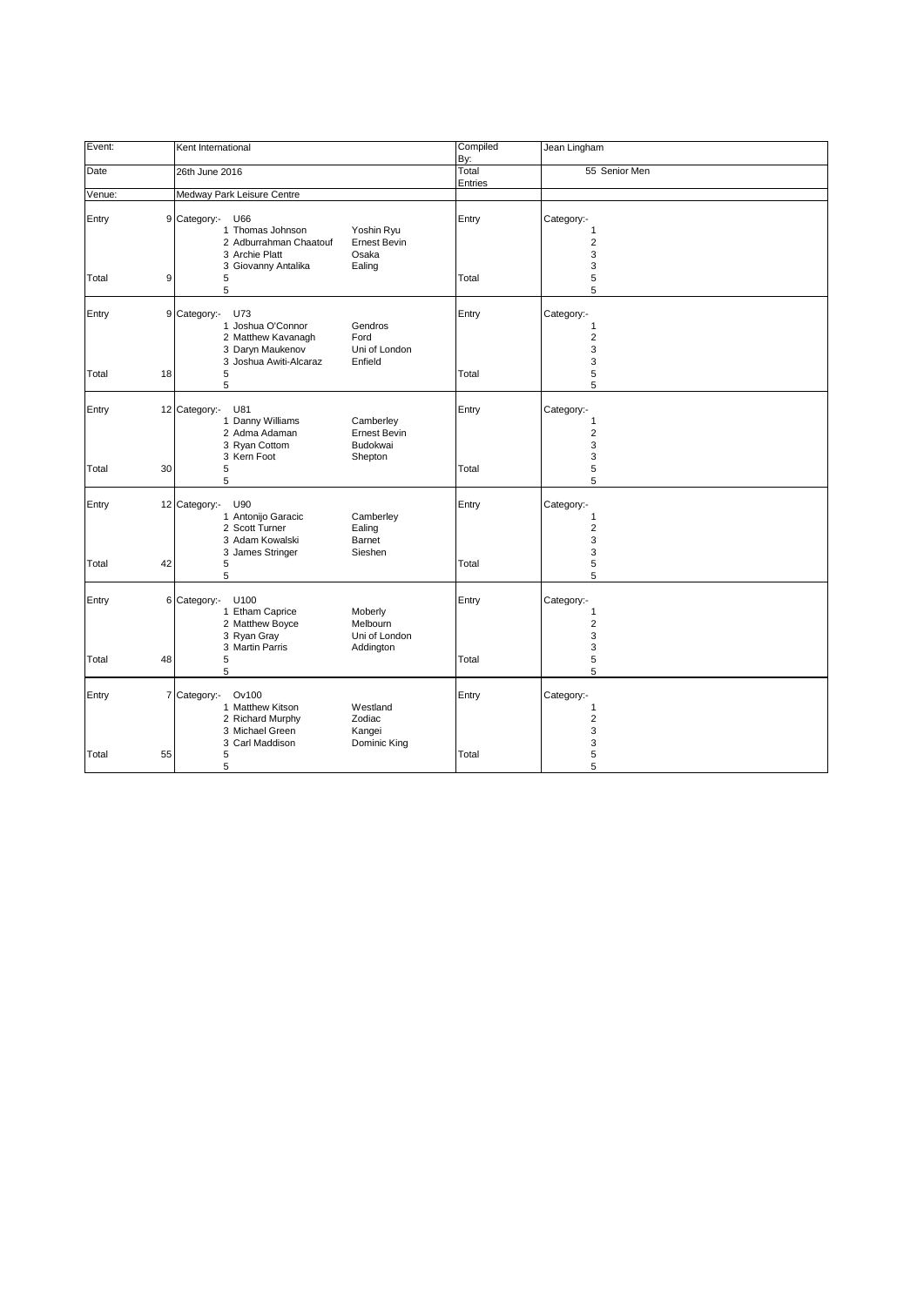| Event:      | Kent International                                                                                                                                                 | Compiled<br>By:  | Jean Lingham                                           |
|-------------|--------------------------------------------------------------------------------------------------------------------------------------------------------------------|------------------|--------------------------------------------------------|
| Date        | 26th June 2016                                                                                                                                                     | Total<br>Entries | 55 Senior Men                                          |
| Venue:      | Medway Park Leisure Centre                                                                                                                                         |                  |                                                        |
| Entry       | 9 Category:-<br>U66<br>1 Thomas Johnson<br>Yoshin Ryu<br>2 Adburrahman Chaatouf<br><b>Ernest Bevin</b><br>3 Archie Platt<br>Osaka<br>3 Giovanny Antalika<br>Ealing | Entry            | Category:-<br>1<br>$\overline{2}$<br>3<br>3            |
| 9<br>Total  | 5<br>5                                                                                                                                                             | Total            | 5<br>5                                                 |
| Entry       | 9 Category:-<br>U73<br>1 Joshua O'Connor<br>Gendros<br>2 Matthew Kavanagh<br>Ford<br>3 Daryn Maukenov<br>Uni of London<br>3 Joshua Awiti-Alcaraz<br>Enfield        | Entry            | Category:-<br>1<br>$\overline{2}$<br>3<br>3            |
| Total<br>18 | 5<br>5                                                                                                                                                             | Total            | 5<br>5                                                 |
| Entry       | 12 Category:-<br>U81<br>1 Danny Williams<br>Camberley<br>2 Adma Adaman<br><b>Ernest Bevin</b><br>3 Ryan Cottom<br>Budokwai<br>3 Kern Foot                          | Entry            | Category:-<br>$\mathbf{1}$<br>$\overline{2}$<br>3<br>3 |
| 30<br>Total | Shepton<br>5<br>5                                                                                                                                                  | Total            | 5<br>5                                                 |
| Entry       | 12 Category:-<br>U90<br>1 Antonijo Garacic<br>Camberley<br>2 Scott Turner<br>Ealing<br>3 Adam Kowalski<br>Barnet<br>3 James Stringer<br>Sieshen                    | Entry            | Category:-<br>1<br>$\overline{2}$<br>3<br>3            |
| 42<br>Total | 5<br>5                                                                                                                                                             | Total            | 5<br>5                                                 |
| Entry       | 6<br>Category:-<br>U100<br>1 Etham Caprice<br>Moberly<br>2 Matthew Boyce<br>Melbourn<br>3 Ryan Gray<br>Uni of London                                               | Entry            | Category:-<br>1<br>$\overline{2}$<br>3<br>3            |
| 48<br>Total | 3 Martin Parris<br>Addington<br>5<br>5                                                                                                                             | Total            | 5<br>5                                                 |
| Entry       | 7 Category:-<br>Ov100<br>1 Matthew Kitson<br>Westland<br>2 Richard Murphy<br>Zodiac<br>3 Michael Green<br>Kangei<br>3 Carl Maddison<br>Dominic King                | Entry            | Category:-<br>1<br>$\overline{2}$<br>3<br>3            |
| Total<br>55 | 5<br>5                                                                                                                                                             | Total            | 5<br>5                                                 |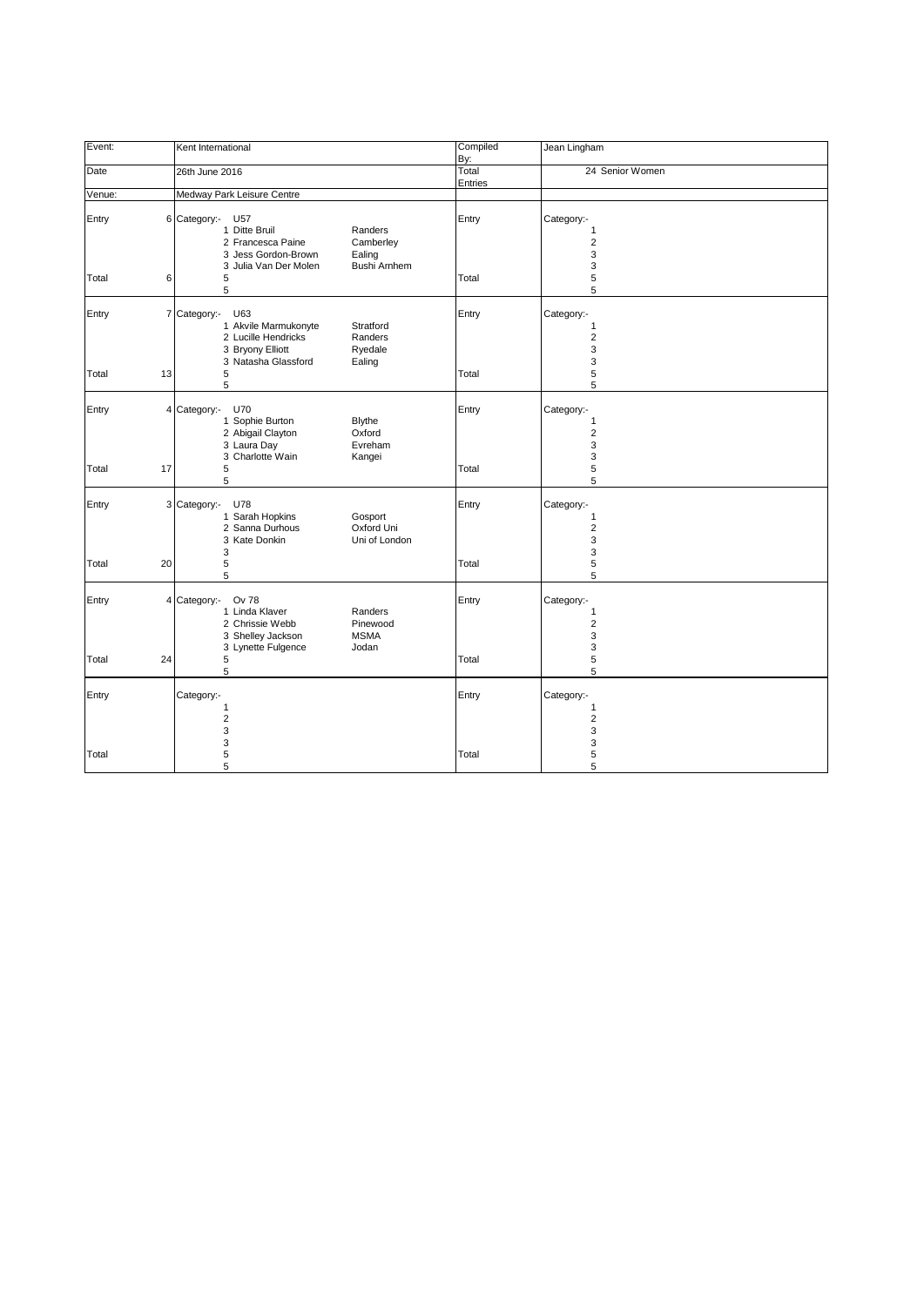| Event:      | Kent International                                                                                                                                              | Compiled<br>By:  | Jean Lingham                                         |
|-------------|-----------------------------------------------------------------------------------------------------------------------------------------------------------------|------------------|------------------------------------------------------|
| Date        | 26th June 2016                                                                                                                                                  | Total<br>Entries | 24 Senior Women                                      |
| Venue:      | Medway Park Leisure Centre                                                                                                                                      |                  |                                                      |
| Entry       | 6 Category:- U57<br>1 Ditte Bruil<br>Randers<br>2 Francesca Paine<br>Camberley<br>Ealing<br>3 Jess Gordon-Brown<br><b>Bushi Arnhem</b><br>3 Julia Van Der Molen | Entry            | Category:-<br>1<br>$\overline{2}$<br>3<br>3          |
| Total       | 6<br>5<br>5                                                                                                                                                     | Total            | 5<br>5                                               |
| Entry       | 7 Category:-<br>U63<br>Stratford<br>1 Akvile Marmukonyte<br>2 Lucille Hendricks<br>Randers<br>3 Bryony Elliott<br>Ryedale<br>3 Natasha Glassford<br>Ealing      | Entry            | Category:-<br>1<br>$\overline{\mathbf{c}}$<br>3<br>3 |
| Total<br>13 | 5<br>5                                                                                                                                                          | Total            | 5<br>5                                               |
| Entry       | 4 Category:-<br><b>U70</b><br>1 Sophie Burton<br><b>Blythe</b><br>2 Abigail Clayton<br>Oxford<br>3 Laura Day<br>Evreham                                         | Entry            | Category:-<br>1<br>$\overline{2}$<br>3               |
| 17<br>Total | 3 Charlotte Wain<br>Kangei<br>5<br>5                                                                                                                            | Total            | 3<br>5<br>5                                          |
| Entry       | 3 Category:-<br>U78<br>1 Sarah Hopkins<br>Gosport<br>2 Sanna Durhous<br>Oxford Uni<br>3 Kate Donkin<br>Uni of London<br>3                                       | Entry            | Category:-<br>1<br>$\overline{2}$<br>3<br>3          |
| Total<br>20 | 5<br>5                                                                                                                                                          | Total            | 5<br>5                                               |
| Entry       | Category:-<br>Ov 78<br>4<br>1 Linda Klaver<br>Randers<br>2 Chrissie Webb<br>Pinewood<br><b>MSMA</b><br>3 Shelley Jackson                                        | Entry            | Category:-<br>1<br>$\overline{2}$<br>3               |
| Total<br>24 | 3 Lynette Fulgence<br>Jodan<br>5<br>5                                                                                                                           | Total            | 3<br>5<br>5                                          |
| Entry       | Category:-<br>$\mathbf{1}$<br>$\overline{2}$<br>3                                                                                                               | Entry            | Category:-<br>1<br>$\overline{\mathbf{c}}$<br>3      |
| Total       | 3<br>5<br>5                                                                                                                                                     | Total            | 3<br>5<br>5                                          |